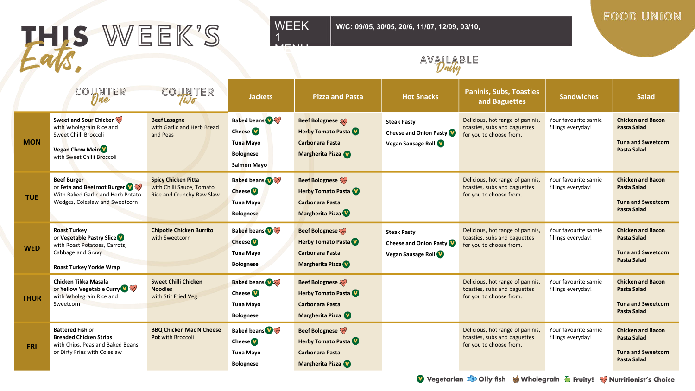

**W/C: 09/05, 30/05, 20/6, 11/07, 12/09, 03/10,** 

#### FOOD UNION

# AVAILABLE

|             | COUNTER<br>rjne                                                                                                                                 | counter<br>Wo                                                                        | <b>Jackets</b>                                                                                      | <b>Pizza and Pasta</b>                                                                           | <b>Hot Snacks</b>                                                         | <b>Paninis, Subs, Toasties</b><br>and Baguettes                                             | <b>Sandwiches</b>                           | <b>Salad</b>                                                                                      |
|-------------|-------------------------------------------------------------------------------------------------------------------------------------------------|--------------------------------------------------------------------------------------|-----------------------------------------------------------------------------------------------------|--------------------------------------------------------------------------------------------------|---------------------------------------------------------------------------|---------------------------------------------------------------------------------------------|---------------------------------------------|---------------------------------------------------------------------------------------------------|
| <b>MON</b>  | Sweet and Sour Chicken<br>with Wholegrain Rice and<br>Sweet Chilli Broccoli<br><b>Vegan Chow Mein<sup>V</sup></b><br>with Sweet Chilli Broccoli | <b>Beef Lasagne</b><br>with Garlic and Herb Bread<br>and Peas                        | <b>Baked beans</b><br>Cheese <b>V</b><br><b>Tuna Mayo</b><br><b>Bolognese</b><br><b>Salmon Mayo</b> | <b>Beef Bolognese</b><br><b>Herby Tomato Pasta</b><br>Carbonara Pasta<br>Margherita Pizza        | <b>Steak Pasty</b><br>Cheese and Onion Pasty<br>Vegan Sausage Roll        | Delicious, hot range of paninis,<br>toasties, subs and baguettes<br>for you to choose from. | Your favourite sarnie<br>fillings everyday! | <b>Chicken and Bacon</b><br><b>Pasta Salad</b><br><b>Tuna and Sweetcorn</b><br><b>Pasta Salad</b> |
| <b>TUE</b>  | <b>Beef Burger</b><br>or Feta and Beetroot Burger<br>With Baked Garlic and Herb Potato<br>Wedges, Coleslaw and Sweetcorn                        | <b>Spicy Chicken Pitta</b><br>with Chilli Sauce, Tomato<br>Rice and Crunchy Raw Slaw | <b>Baked beans of the Baked Back</b><br><b>Cheese</b><br><b>Tuna Mayo</b><br><b>Bolognese</b>       | <b>Beef Bolognese</b><br><b>Herby Tomato Pasta</b><br><b>Carbonara Pasta</b><br>Margherita Pizza |                                                                           | Delicious, hot range of paninis,<br>toasties, subs and baguettes<br>for you to choose from. | Your favourite sarnie<br>fillings everyday! | <b>Chicken and Bacon</b><br><b>Pasta Salad</b><br><b>Tuna and Sweetcorn</b><br><b>Pasta Salad</b> |
| <b>WED</b>  | <b>Roast Turkey</b><br>or Vegetable Pastry Slice<br>with Roast Potatoes, Carrots,<br>Cabbage and Gravy<br><b>Roast Turkey Yorkie Wrap</b>       | <b>Chipotle Chicken Burrito</b><br>with Sweetcorn                                    | <b>Baked beans</b><br><b>Cheese</b><br><b>Tuna Mayo</b><br><b>Bolognese</b>                         | <b>Beef Bolognese</b><br><b>Herby Tomato Pasta</b><br><b>Carbonara Pasta</b><br>Margherita Pizza | <b>Steak Pasty</b><br><b>Cheese and Onion Pasty</b><br>Vegan Sausage Roll | Delicious, hot range of paninis<br>toasties, subs and baguettes<br>for you to choose from.  | Your favourite sarnie<br>fillings everyday! | <b>Chicken and Bacon</b><br>Pasta Salad<br><b>Tuna and Sweetcorn</b><br><b>Pasta Salad</b>        |
| <b>THUR</b> | Chicken Tikka Masala<br>or Yellow Vegetable Curry<br>with Wholegrain Rice and<br>Sweetcorn                                                      | <b>Sweet Chilli Chicken</b><br><b>Noodles</b><br>with Stir Fried Veg                 | <b>Baked beans O</b><br>Cheese <b>V</b><br><b>Tuna Mayo</b><br><b>Bolognese</b>                     | <b>Beef Bolognese</b><br><b>Herby Tomato Pasta</b><br><b>Carbonara Pasta</b><br>Margherita Pizza |                                                                           | Delicious, hot range of paninis,<br>toasties, subs and baguettes<br>for you to choose from. | Your favourite sarnie<br>fillings everyday! | <b>Chicken and Bacon</b><br><b>Pasta Salad</b><br><b>Tuna and Sweetcorn</b><br><b>Pasta Salad</b> |
| <b>FRI</b>  | <b>Battered Fish or</b><br><b>Breaded Chicken Strips</b><br>with Chips, Peas and Baked Beans<br>or Dirty Fries with Coleslaw                    | <b>BBQ Chicken Mac N Cheese</b><br><b>Pot with Broccoli</b>                          | <b>Baked beans</b><br><b>Cheese</b><br><b>Tuna Mayo</b><br><b>Bolognese</b>                         | Beef Bolognese<br>Herby Tomato Pasta<br><b>Carbonara Pasta</b><br>Margherita Pizza               |                                                                           | Delicious, hot range of paninis,<br>toasties, subs and baguettes<br>for you to choose from. | Your favourite sarnie<br>fillings everyday! | <b>Chicken and Bacon</b><br><b>Pasta Salad</b><br><b>Tuna and Sweetcorn</b><br><b>Pasta Salad</b> |

Vegetarian & Oily fish & Wholegrain Truity! W Nutritionist's Choice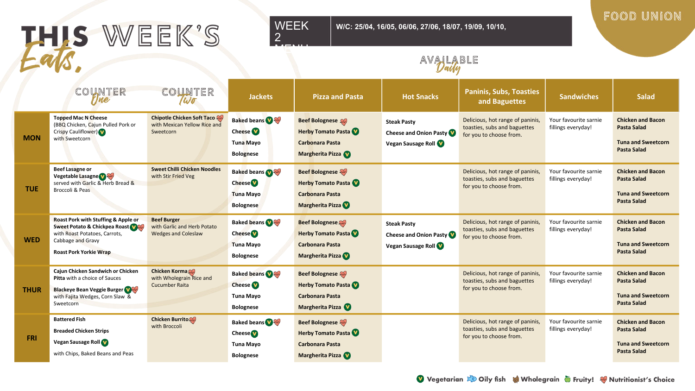# THIS WEEK'S

#### WEEK 2

MENU

**W/C: 25/04, 16/05, 06/06, 27/06, 18/07, 19/09, 10/10,** 

#### FOOD UNION

### AVAILABLE

|             | COUNTER<br>rjne                                                                                                                                             | COUNTER<br>Wo                                                                   | <b>Jackets</b>                                                              | <b>Pizza and Pasta</b>                                                                                  | <b>Hot Snacks</b>                                                         | <b>Paninis, Subs, Toasties</b><br>and Baguettes                                             | <b>Sandwiches</b>                           | <b>Salad</b>                                                                                      |
|-------------|-------------------------------------------------------------------------------------------------------------------------------------------------------------|---------------------------------------------------------------------------------|-----------------------------------------------------------------------------|---------------------------------------------------------------------------------------------------------|---------------------------------------------------------------------------|---------------------------------------------------------------------------------------------|---------------------------------------------|---------------------------------------------------------------------------------------------------|
| <b>MON</b>  | <b>Topped Mac N Cheese</b><br>(BBQ Chicken, Cajun Pulled Pork or<br>Crispy Cauliflower)<br>with Sweetcorn                                                   | <b>Chipotle Chicken Soft Taco</b><br>with Mexican Yellow Rice and<br>Sweetcorn  | <b>Baked beans</b><br>Cheese <sup>V</sup><br>Tuna Mayo<br><b>Bolognese</b>  | <b>Beef Bolognese</b><br><b>Herby Tomato Pasta</b><br><b>Carbonara Pasta</b><br>Margherita Pizza        | <b>Steak Pasty</b><br>Cheese and Onion Pasty<br>Vegan Sausage Roll        | Delicious, hot range of paninis,<br>toasties, subs and baguettes<br>for you to choose from. | Your favourite sarnie<br>fillings everyday! | <b>Chicken and Bacon</b><br><b>Pasta Salad</b><br><b>Tuna and Sweetcorn</b><br><b>Pasta Salad</b> |
| <b>TUE</b>  | <b>Beef Lasagne or</b><br><b>Vegetable Lasagne Value</b><br>served with Garlic & Herb Bread &<br><b>Broccoli &amp; Peas</b>                                 | <b>Sweet Chilli Chicken Noodles</b><br>with Stir Fried Veg                      | <b>Baked beans</b><br><b>Cheese</b><br><b>Tuna Mayo</b><br><b>Bolognese</b> | <b>Beef Bolognese</b><br><b>Herby Tomato Pasta</b><br><b>Carbonara Pasta</b><br>Margherita Pizza        |                                                                           | Delicious, hot range of paninis,<br>toasties, subs and baguettes<br>for you to choose from. | Your favourite sarnie<br>fillings everyday! | <b>Chicken and Bacon</b><br><b>Pasta Salad</b><br><b>Tuna and Sweetcorn</b><br><b>Pasta Salad</b> |
| <b>WED</b>  | Roast Pork with Stuffing & Apple or<br>Sweet Potato & Chickpea Roast<br>with Roast Potatoes, Carrots,<br>Cabbage and Gravy<br><b>Roast Pork Yorkie Wrap</b> | <b>Beef Burger</b><br>with Garlic and Herb Potato<br><b>Wedges and Coleslaw</b> | <b>Baked beans</b><br><b>Cheese</b><br><b>Tuna Mayo</b><br><b>Bolognese</b> | <b>Beef Bolognese</b><br><b>Herby Tomato Pasta</b><br><b>Carbonara Pasta</b><br><b>Margherita Pizza</b> | <b>Steak Pasty</b><br><b>Cheese and Onion Pasty</b><br>Vegan Sausage Roll | Delicious, hot range of paninis,<br>toasties, subs and baguettes<br>for you to choose from. | Your favourite sarnie<br>fillings everyday! | <b>Chicken and Bacon</b><br><b>Pasta Salad</b><br><b>Tuna and Sweetcorn</b><br><b>Pasta Salad</b> |
| <b>THUR</b> | Cajun Chicken Sandwich or Chicken<br>Pitta with a choice of Sauces<br><b>Blackeye Bean Veggie Burger</b><br>with Fajita Wedges, Corn Slaw &<br>Sweetcorn    | <b>Chicken Korma</b><br>with Wholegrain Rice and<br><b>Cucumber Raita</b>       | <b>Baked beans</b><br><b>Cheese</b><br><b>Tuna Mayo</b><br><b>Bolognese</b> | <b>Beef Bolognese</b><br><b>Herby Tomato Pasta</b><br><b>Carbonara Pasta</b><br>Margherita Pizza        |                                                                           | Delicious, hot range of paninis,<br>toasties, subs and baguettes<br>for you to choose from. | Your favourite sarnie<br>fillings everyday! | <b>Chicken and Bacon</b><br><b>Pasta Salad</b><br><b>Tuna and Sweetcorn</b><br><b>Pasta Salad</b> |
| <b>FRI</b>  | <b>Battered Fish</b><br><b>Breaded Chicken Strips</b><br>Vegan Sausage Roll<br>with Chips, Baked Beans and Peas                                             | <b>Chicken Burrito</b><br>with Broccoli                                         | <b>Baked beans</b><br><b>Cheese</b><br><b>Tuna Mayo</b><br><b>Bolognese</b> | <b>Beef Bolognese</b><br><b>Herby Tomato Pasta</b><br><b>Carbonara Pasta</b><br>Margherita Pizza        |                                                                           | Delicious, hot range of paninis,<br>toasties, subs and baguettes<br>for you to choose from. | Your favourite sarnie<br>fillings everyday! | <b>Chicken and Bacon</b><br><b>Pasta Salad</b><br><b>Tuna and Sweetcorn</b><br><b>Pasta Salad</b> |